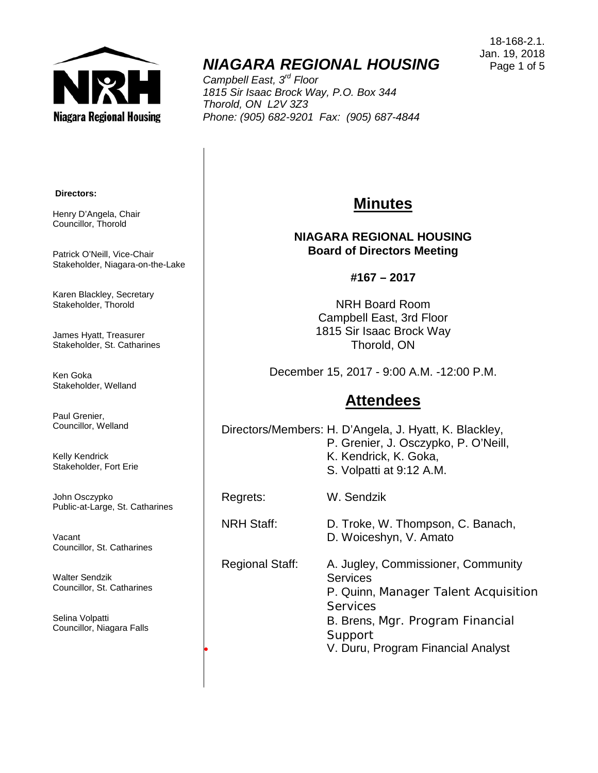

## *NIAGARA REGIONAL HOUSING*

*Campbell East, 3rd Floor 1815 Sir Isaac Brock Way, P.O. Box 344 Thorold, ON L2V 3Z3 Phone: (905) 682-9201 Fax: (905) 687-4844*

#### **Directors:**

Henry D'Angela, Chair Councillor, Thorold

Patrick O'Neill, Vice-Chair Stakeholder, Niagara-on-the-Lake

Karen Blackley, Secretary Stakeholder, Thorold

James Hyatt, Treasurer Stakeholder, St. Catharines

Ken Goka Stakeholder, Welland

Paul Grenier, Councillor, Welland

Kelly Kendrick Stakeholder, Fort Erie

John Osczypko Public-at-Large, St. Catharines

Vacant Councillor, St. Catharines

Walter Sendzik Councillor, St. Catharines

Selina Volpatti Councillor, Niagara Falls

## **Minutes**

#### **NIAGARA REGIONAL HOUSING Board of Directors Meeting**

#### **#167 – 2017**

NRH Board Room Campbell East, 3rd Floor 1815 Sir Isaac Brock Way Thorold, ON

December 15, 2017 - 9:00 A.M. -12:00 P.M.

### **Attendees**

Directors/Members: H. D'Angela, J. Hyatt, K. Blackley, P. Grenier, J. Osczypko, P. O'Neill, K. Kendrick, K. Goka, S. Volpatti at 9:12 A.M.

Regrets: W. Sendzik

# NRH Staff: D. Troke, W. Thompson, C. Banach,

D. Woiceshyn, V. Amato

Regional Staff: A. Jugley, Commissioner, Community **Services** P. Quinn, Manager Talent Acquisition **Services** B. Brens, Mgr. Program Financial Support • V. Duru, Program Financial Analyst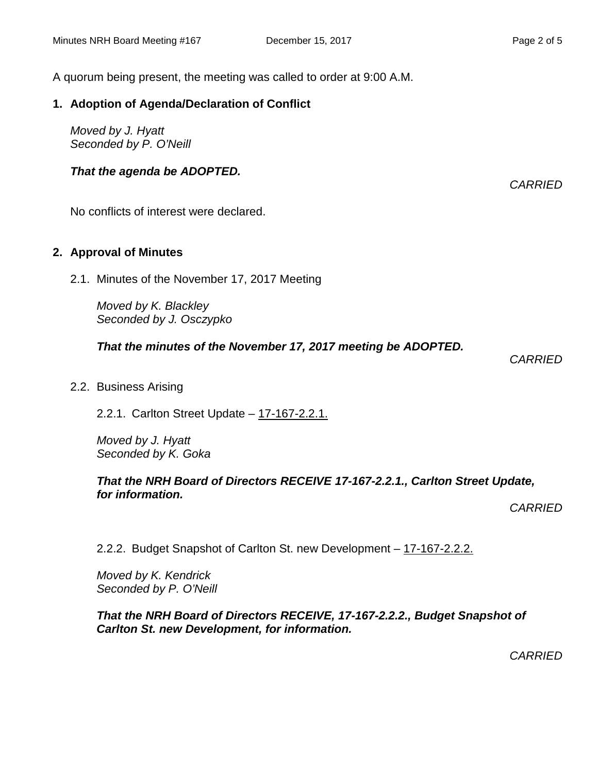A quorum being present, the meeting was called to order at 9:00 A.M.

#### **1. Adoption of Agenda/Declaration of Conflict**

*Moved by J. Hyatt Seconded by P. O'Neill*

#### *That the agenda be ADOPTED.*

No conflicts of interest were declared.

#### **2. Approval of Minutes**

2.1. Minutes of the November 17, 2017 Meeting

*Moved by K. Blackley Seconded by J. Osczypko*

*That the minutes of the November 17, 2017 meeting be ADOPTED.* 

*CARRIED*

2.2. Business Arising

2.2.1. Carlton Street Update – 17-167-2.2.1.

*Moved by J. Hyatt Seconded by K. Goka*

#### *That the NRH Board of Directors RECEIVE 17-167-2.2.1., Carlton Street Update, for information.*

*CARRIED*

2.2.2. Budget Snapshot of Carlton St. new Development – 17-167-2.2.2.

*Moved by K. Kendrick Seconded by P. O'Neill*

#### *That the NRH Board of Directors RECEIVE, 17-167-2.2.2., Budget Snapshot of Carlton St. new Development, for information.*

*CARRIED*

*CARRIED*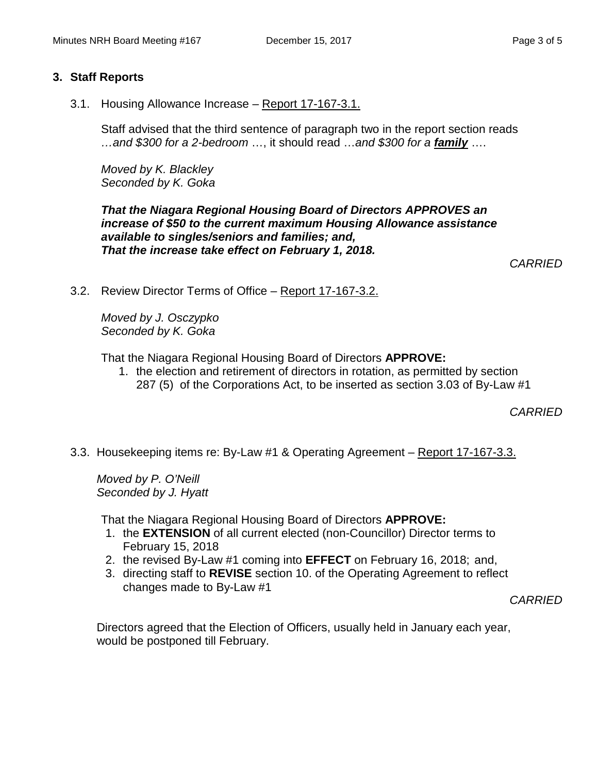#### **3. Staff Reports**

3.1. Housing Allowance Increase – Report 17-167-3.1.

Staff advised that the third sentence of paragraph two in the report section reads *…and \$300 for a 2-bedroom* …, it should read …*and \$300 for a family* ….

*Moved by K. Blackley Seconded by K. Goka*

*That the Niagara Regional Housing Board of Directors APPROVES an increase of \$50 to the current maximum Housing Allowance assistance available to singles/seniors and families; and, That the increase take effect on February 1, 2018.* 

*CARRIED*

3.2. Review Director Terms of Office – Report 17-167-3.2.

*Moved by J. Osczypko Seconded by K. Goka*

That the Niagara Regional Housing Board of Directors **APPROVE:**

1. the election and retirement of directors in rotation, as permitted by section 287 (5) of the Corporations Act, to be inserted as section 3.03 of By-Law #1

*CARRIED*

3.3. Housekeeping items re: By-Law #1 & Operating Agreement – Report 17-167-3.3.

*Moved by P. O'Neill Seconded by J. Hyatt*

That the Niagara Regional Housing Board of Directors **APPROVE:**

- 1. the **EXTENSION** of all current elected (non-Councillor) Director terms to February 15, 2018
- 2. the revised By-Law #1 coming into **EFFECT** on February 16, 2018; and,
- 3. directing staff to **REVISE** section 10. of the Operating Agreement to reflect changes made to By-Law #1

*CARRIED*

Directors agreed that the Election of Officers, usually held in January each year, would be postponed till February.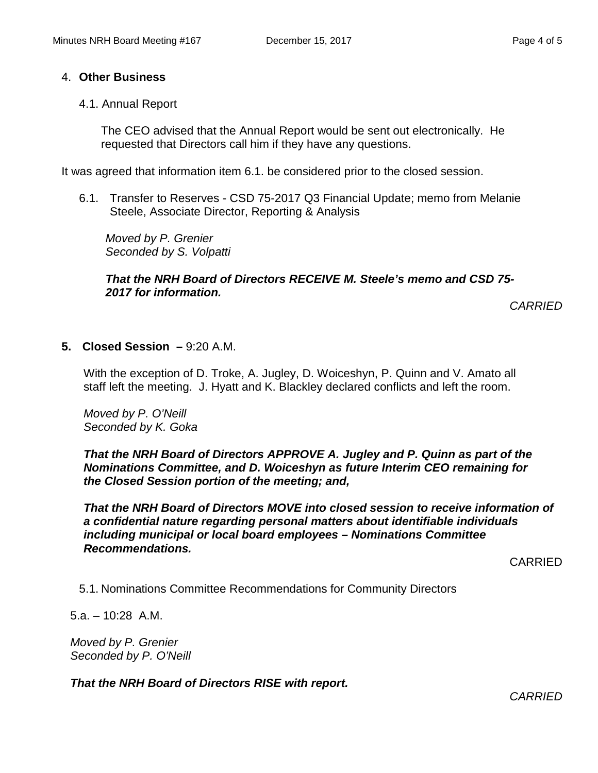#### 4. **Other Business**

4.1. Annual Report

The CEO advised that the Annual Report would be sent out electronically. He requested that Directors call him if they have any questions.

It was agreed that information item 6.1. be considered prior to the closed session.

6.1. Transfer to Reserves - CSD 75-2017 Q3 Financial Update; memo from Melanie Steele, Associate Director, Reporting & Analysis

*Moved by P. Grenier Seconded by S. Volpatti*

#### *That the NRH Board of Directors RECEIVE M. Steele's memo and CSD 75- 2017 for information.*

*CARRIED*

**5. Closed Session –** 9:20 A.M.

With the exception of D. Troke, A. Jugley, D. Woiceshyn, P. Quinn and V. Amato all staff left the meeting. J. Hyatt and K. Blackley declared conflicts and left the room.

*Moved by P. O'Neill Seconded by K. Goka*

*That the NRH Board of Directors APPROVE A. Jugley and P. Quinn as part of the Nominations Committee, and D. Woiceshyn as future Interim CEO remaining for the Closed Session portion of the meeting; and,*

*That the NRH Board of Directors MOVE into closed session to receive information of a confidential nature regarding personal matters about identifiable individuals including municipal or local board employees – Nominations Committee Recommendations.*

CARRIED

5.1. Nominations Committee Recommendations for Community Directors

5.a. – 10:28 A.M.

*Moved by P. Grenier Seconded by P. O'Neill*

*That the NRH Board of Directors RISE with report.*